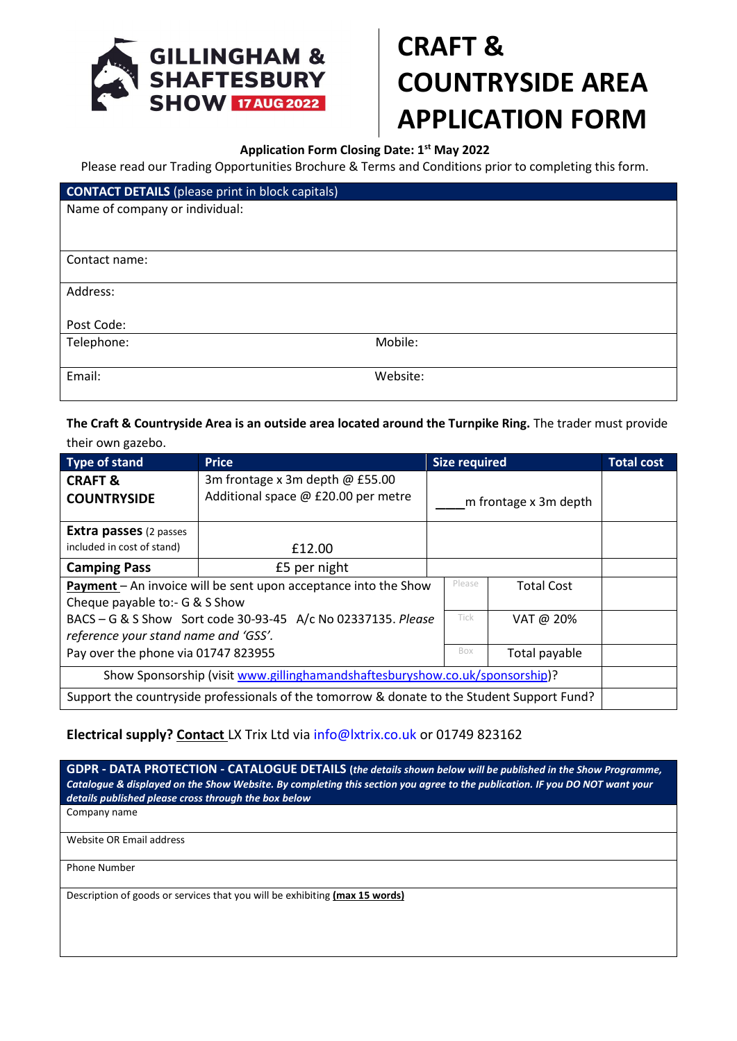

## **CRAFT & COUNTRYSIDE AREA APPLICATION FORM**

## **Application Form Closing Date: 1st May 2022**

Please read our Trading Opportunities Brochure & Terms and Conditions prior to completing this form.

| <b>CONTACT DETAILS</b> (please print in block capitals) |          |  |  |  |
|---------------------------------------------------------|----------|--|--|--|
| Name of company or individual:                          |          |  |  |  |
|                                                         |          |  |  |  |
|                                                         |          |  |  |  |
| Contact name:                                           |          |  |  |  |
|                                                         |          |  |  |  |
| Address:                                                |          |  |  |  |
|                                                         |          |  |  |  |
| Post Code:                                              |          |  |  |  |
| Telephone:                                              | Mobile:  |  |  |  |
|                                                         |          |  |  |  |
| Email:                                                  | Website: |  |  |  |
|                                                         |          |  |  |  |

**The Craft & Countryside Area is an outside area located around the Turnpike Ring.** The trader must provide their own gazebo.

| <b>Type of stand</b>                                                                                                             | <b>Price</b>                                                             |                       | <b>Size required</b> |               | <b>Total cost</b> |
|----------------------------------------------------------------------------------------------------------------------------------|--------------------------------------------------------------------------|-----------------------|----------------------|---------------|-------------------|
| <b>CRAFT &amp;</b><br><b>COUNTRYSIDE</b>                                                                                         | 3m frontage x 3m depth $@$ £55.00<br>Additional space @ £20.00 per metre | m frontage x 3m depth |                      |               |                   |
| <b>Extra passes</b> (2 passes<br>included in cost of stand)                                                                      | £12.00                                                                   |                       |                      |               |                   |
| <b>Camping Pass</b>                                                                                                              | £5 per night                                                             |                       |                      |               |                   |
| Please<br>Payment - An invoice will be sent upon acceptance into the Show<br><b>Total Cost</b><br>Cheque payable to:- G & S Show |                                                                          |                       |                      |               |                   |
| BACS - G & S Show Sort code 30-93-45 A/c No 02337135. Please<br>reference your stand name and 'GSS'.                             |                                                                          |                       | <b>Tick</b>          | VAT @ 20%     |                   |
| Pay over the phone via 01747 823955                                                                                              |                                                                          |                       | Box                  | Total payable |                   |
| Show Sponsorship (visit www.gillinghamandshaftesburyshow.co.uk/sponsorship)?                                                     |                                                                          |                       |                      |               |                   |
| Support the countryside professionals of the tomorrow & donate to the Student Support Fund?                                      |                                                                          |                       |                      |               |                   |

## **Electrical supply? Contact** LX Trix Ltd via [info@lxtrix.co.uk](mailto:info@lxtrix.co.uk) or 01749 823162

**GDPR - DATA PROTECTION - CATALOGUE DETAILS (***the details shown below will be published in the Show Programme, Catalogue & displayed on the Show Website. By completing this section you agree to the publication. IF you DO NOT want your details published please cross through the box below*

Company name

Website OR Email address

Phone Number

Description of goods or services that you will be exhibiting **(max 15 words)**